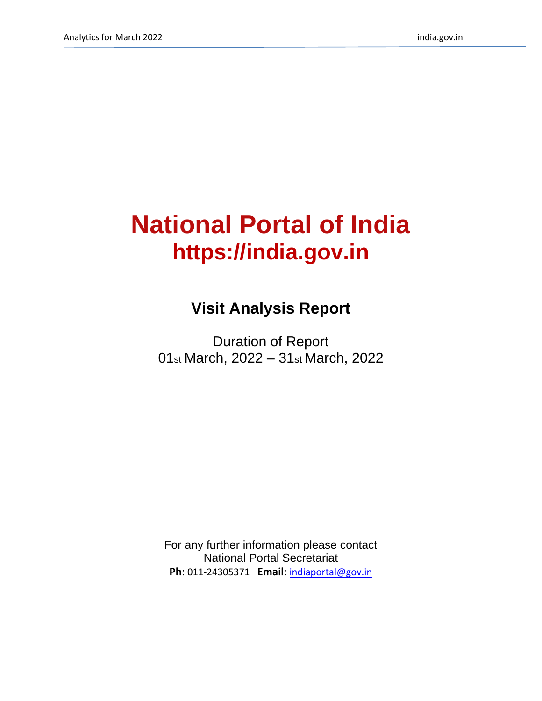# **National Portal of India https://india.gov.in**

## **Visit Analysis Report**

Duration of Report 01st March, 2022 – 31st March, 2022

For any further information please contact National Portal Secretariat **Ph**: 011-24305371 **Email**: [indiaportal@gov.in](mailto:indiaportal@gov.in)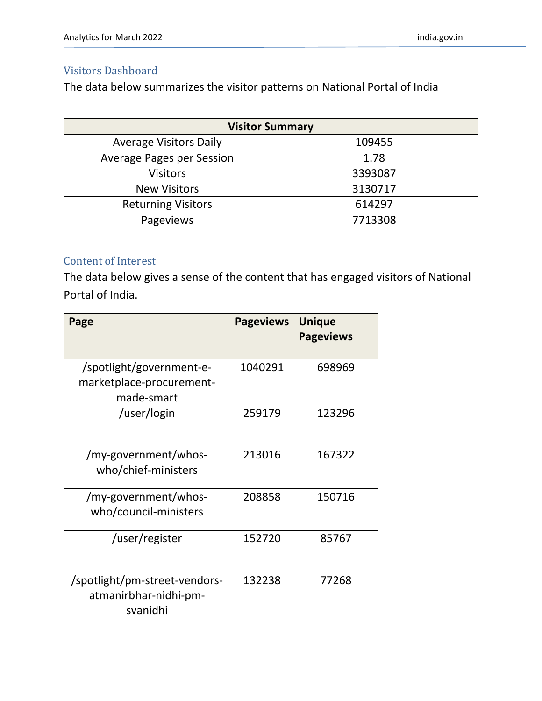#### Visitors Dashboard

The data below summarizes the visitor patterns on National Portal of India

| <b>Visitor Summary</b>           |         |  |  |  |
|----------------------------------|---------|--|--|--|
| <b>Average Visitors Daily</b>    | 109455  |  |  |  |
| <b>Average Pages per Session</b> | 1.78    |  |  |  |
| <b>Visitors</b>                  | 3393087 |  |  |  |
| <b>New Visitors</b>              | 3130717 |  |  |  |
| <b>Returning Visitors</b>        | 614297  |  |  |  |
| Pageviews                        | 7713308 |  |  |  |

#### Content of Interest

The data below gives a sense of the content that has engaged visitors of National Portal of India.

| Page                                                               | <b>Pageviews</b> | <b>Unique</b><br><b>Pageviews</b> |
|--------------------------------------------------------------------|------------------|-----------------------------------|
| /spotlight/government-e-<br>marketplace-procurement-<br>made-smart | 1040291          | 698969                            |
| /user/login                                                        | 259179           | 123296                            |
| /my-government/whos-<br>who/chief-ministers                        | 213016           | 167322                            |
| /my-government/whos-<br>who/council-ministers                      | 208858           | 150716                            |
| /user/register                                                     | 152720           | 85767                             |
| /spotlight/pm-street-vendors-<br>atmanirbhar-nidhi-pm-<br>svanidhi | 132238           | 77268                             |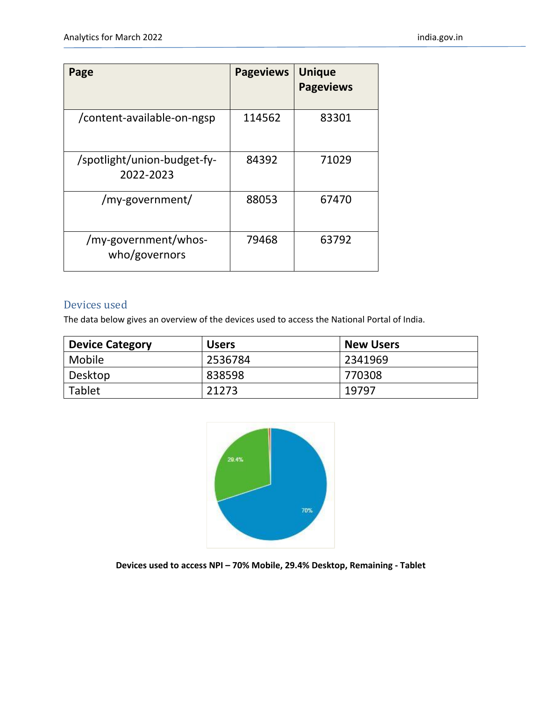| Page                                     | <b>Pageviews</b> | <b>Unique</b><br><b>Pageviews</b> |
|------------------------------------------|------------------|-----------------------------------|
| /content-available-on-ngsp               | 114562           | 83301                             |
| /spotlight/union-budget-fy-<br>2022-2023 | 84392            | 71029                             |
| /my-government/                          | 88053            | 67470                             |
| /my-government/whos-<br>who/governors    | 79468            | 63792                             |

#### Devices used

The data below gives an overview of the devices used to access the National Portal of India.

| <b>Device Category</b> | <b>Users</b> | <b>New Users</b> |
|------------------------|--------------|------------------|
| Mobile                 | 2536784      | 2341969          |
| Desktop                | 838598       | 770308           |
| <b>Tablet</b>          | 21273        | 19797            |



**Devices used to access NPI – 70% Mobile, 29.4% Desktop, Remaining - Tablet**